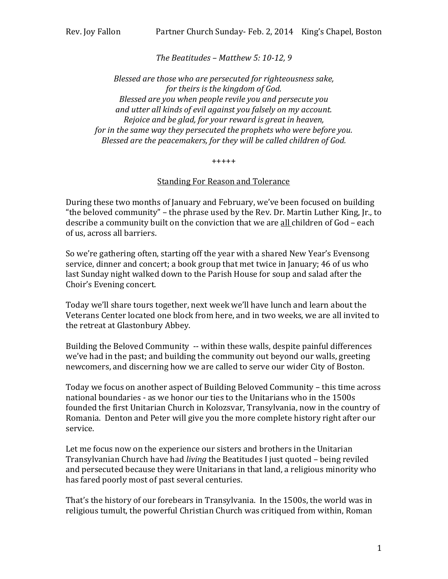## *The Beatitudes – Matthew 5: 10-12, 9*

*Blessed are those who are persecuted for righteousness sake, for theirs is the kingdom of God. Blessed are you when people revile you and persecute you and utter all kinds of evil against you falsely on my account. Rejoice and be glad, for your reward is great in heaven, for in the same way they persecuted the prophets who were before you. Blessed are the peacemakers, for they will be called children of God.*

## +++++

## Standing For Reason and Tolerance

During these two months of January and February, we've been focused on building "the beloved community" – the phrase used by the Rev. Dr. Martin Luther King, Jr., to describe a community built on the conviction that we are all children of God - each of us, across all barriers.

So we're gathering often, starting off the year with a shared New Year's Evensong service, dinner and concert; a book group that met twice in January; 46 of us who last Sunday night walked down to the Parish House for soup and salad after the Choir's Evening concert.

Today we'll share tours together, next week we'll have lunch and learn about the Veterans Center located one block from here, and in two weeks, we are all invited to the retreat at Glastonbury Abbey.

Building the Beloved Community -- within these walls, despite painful differences we've had in the past; and building the community out beyond our walls, greeting newcomers, and discerning how we are called to serve our wider City of Boston.

Today we focus on another aspect of Building Beloved Community – this time across national boundaries - as we honor our ties to the Unitarians who in the 1500s founded the first Unitarian Church in Kolozsvar, Transylvania, now in the country of Romania. Denton and Peter will give you the more complete history right after our service.

Let me focus now on the experience our sisters and brothers in the Unitarian Transylvanian Church have had *living* the Beatitudes I just quoted – being reviled and persecuted because they were Unitarians in that land, a religious minority who has fared poorly most of past several centuries.

That's the history of our forebears in Transylvania. In the 1500s, the world was in religious tumult, the powerful Christian Church was critiqued from within, Roman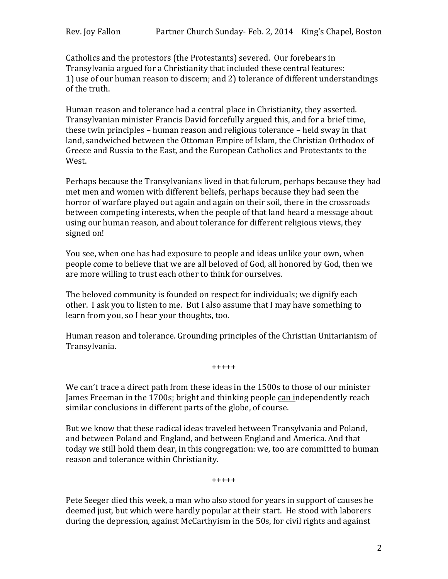Catholics and the protestors (the Protestants) severed. Our forebears in Transylvania argued for a Christianity that included these central features: 1) use of our human reason to discern; and 2) tolerance of different understandings of the truth.

Human reason and tolerance had a central place in Christianity, they asserted. Transylvanian minister Francis David forcefully argued this, and for a brief time, these twin principles – human reason and religious tolerance – held sway in that land, sandwiched between the Ottoman Empire of Islam, the Christian Orthodox of Greece and Russia to the East, and the European Catholics and Protestants to the West.

Perhaps because the Transylvanians lived in that fulcrum, perhaps because they had met men and women with different beliefs, perhaps because they had seen the horror of warfare played out again and again on their soil, there in the crossroads between competing interests, when the people of that land heard a message about using our human reason, and about tolerance for different religious views, they signed on!

You see, when one has had exposure to people and ideas unlike your own, when people come to believe that we are all beloved of God, all honored by God, then we are more willing to trust each other to think for ourselves.

The beloved community is founded on respect for individuals; we dignify each other. I ask you to listen to me. But I also assume that I may have something to learn from you, so I hear your thoughts, too.

Human reason and tolerance. Grounding principles of the Christian Unitarianism of Transylvania.

+++++

We can't trace a direct path from these ideas in the 1500s to those of our minister James Freeman in the 1700s; bright and thinking people can independently reach similar conclusions in different parts of the globe, of course.

But we know that these radical ideas traveled between Transylvania and Poland, and between Poland and England, and between England and America. And that today we still hold them dear, in this congregation: we, too are committed to human reason and tolerance within Christianity.

+++++

Pete Seeger died this week, a man who also stood for years in support of causes he deemed just, but which were hardly popular at their start. He stood with laborers during the depression, against McCarthyism in the 50s, for civil rights and against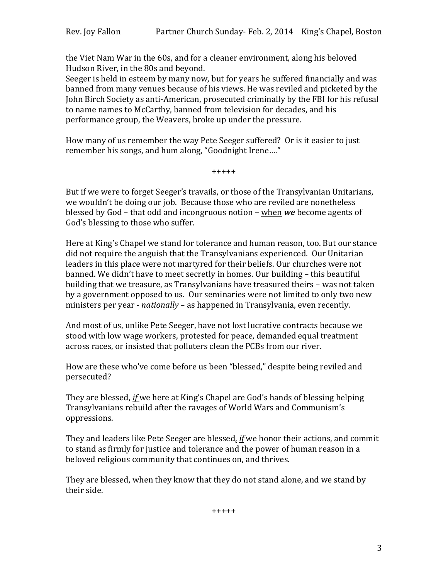the Viet Nam War in the 60s, and for a cleaner environment, along his beloved Hudson River, in the 80s and beyond.

Seeger is held in esteem by many now, but for years he suffered financially and was banned from many venues because of his views. He was reviled and picketed by the John Birch Society as anti-American, prosecuted criminally by the FBI for his refusal to name names to McCarthy, banned from television for decades, and his performance group, the Weavers, broke up under the pressure.

How many of us remember the way Pete Seeger suffered? Or is it easier to just remember his songs, and hum along, "Goodnight Irene…."

+++++

But if we were to forget Seeger's travails, or those of the Transylvanian Unitarians, we wouldn't be doing our job. Because those who are reviled are nonetheless blessed by God – that odd and incongruous notion – when *we* become agents of God's blessing to those who suffer.

Here at King's Chapel we stand for tolerance and human reason, too. But our stance did not require the anguish that the Transylvanians experienced. Our Unitarian leaders in this place were not martyred for their beliefs. Our churches were not banned. We didn't have to meet secretly in homes. Our building – this beautiful building that we treasure, as Transylvanians have treasured theirs – was not taken by a government opposed to us. Our seminaries were not limited to only two new ministers per year - *nationally* – as happened in Transylvania, even recently.

And most of us, unlike Pete Seeger, have not lost lucrative contracts because we stood with low wage workers, protested for peace, demanded equal treatment across races, or insisted that polluters clean the PCBs from our river.

How are these who've come before us been "blessed," despite being reviled and persecuted?

They are blessed, *if* we here at King's Chapel are God's hands of blessing helping Transylvanians rebuild after the ravages of World Wars and Communism's oppressions.

They and leaders like Pete Seeger are blessed*, if* we honor their actions, and commit to stand as firmly for justice and tolerance and the power of human reason in a beloved religious community that continues on, and thrives.

They are blessed, when they know that they do not stand alone, and we stand by their side.

+++++